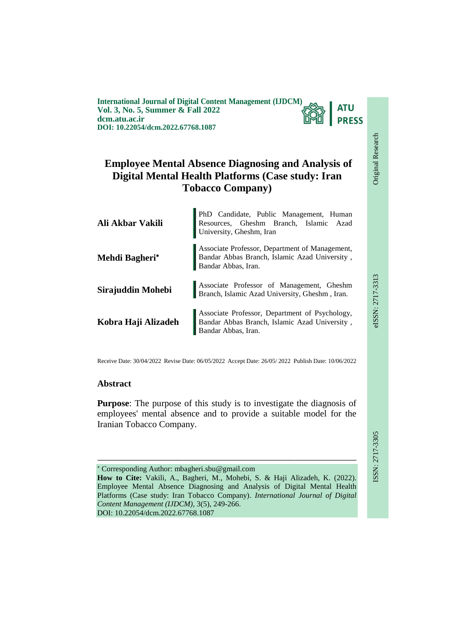**International Journal of Digital Content Management (IJDCM) Vol. 3, No. 5, Summer & Fall 2022 dcm.atu.ac.ir DOI: 10.22054/dcm.2022.67768.1087**



# **Employee Mental Absence Diagnosing and Analysis of Digital Mental Health Platforms (Case study: Iran Tobacco Company)**

| Ali Akbar Vakili    | PhD Candidate, Public Management, Human<br>Resources, Gheshm Branch, Islamic Azad<br>University, Gheshm, Iran          |  |
|---------------------|------------------------------------------------------------------------------------------------------------------------|--|
| Mehdi Bagheri*      | Associate Professor, Department of Management,<br>Bandar Abbas Branch, Islamic Azad University,<br>Bandar Abbas, Iran. |  |
| Sirajuddin Mohebi   | Associate Professor of Management, Gheshm Branch, Islamic Azad University, Gheshm , Iran.                              |  |
| Kobra Haji Alizadeh | Associate Professor, Department of Psychology,<br>Bandar Abbas Branch, Islamic Azad University,<br>Bandar Abbas, Iran. |  |

Receive Date: 30/04/2022 Revise Date: 06/05/2022 Accept Date: 26/05/ 2022 Publish Date: 10/06/2022

### **Abstract**

**Purpose**: The purpose of this study is to investigate the diagnosis of employees' mental absence and to provide a suitable model for the Iranian Tobacco Company.

ـــــــــــــــــــــــــــــــــــــــــــــــــــــــــــــــــــــــــــــــــــــــــــــــــــــــــــــــــــــــــــــ

 Corresponding Author: mbagheri.sbu@gmail.com **How to Cite:** Vakili, A., Bagheri, M., Mohebi, S. & Haji Alizadeh, K. (2022). Employee Mental Absence Diagnosing and Analysis of Digital Mental Health Platforms (Case study: Iran Tobacco Company). *International Journal of Digital Content Management (IJDCM)*, 3(5), 249-266. DOI: 10.22054/dcm.2022.67768.1087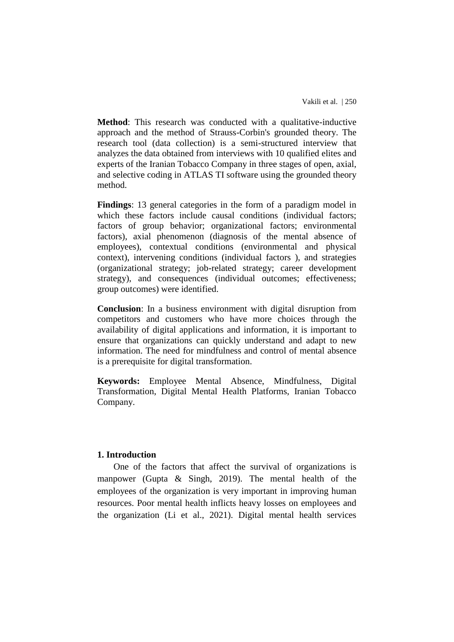**Method**: This research was conducted with a qualitative-inductive approach and the method of Strauss-Corbin's grounded theory. The research tool (data collection) is a semi-structured interview that analyzes the data obtained from interviews with 10 qualified elites and experts of the Iranian Tobacco Company in three stages of open, axial, and selective coding in ATLAS TI software using the grounded theory method.

**Findings**: 13 general categories in the form of a paradigm model in which these factors include causal conditions (individual factors; factors of group behavior; organizational factors; environmental factors), axial phenomenon (diagnosis of the mental absence of employees), contextual conditions (environmental and physical context), intervening conditions (individual factors ), and strategies (organizational strategy; job-related strategy; career development strategy), and consequences (individual outcomes; effectiveness; group outcomes) were identified.

**Conclusion**: In a business environment with digital disruption from competitors and customers who have more choices through the availability of digital applications and information, it is important to ensure that organizations can quickly understand and adapt to new information. The need for mindfulness and control of mental absence is a prerequisite for digital transformation.

**Keywords:** Employee Mental Absence, Mindfulness, Digital Transformation, Digital Mental Health Platforms, Iranian Tobacco Company.

## **1. Introduction**

One of the factors that affect the survival of organizations is manpower (Gupta & Singh, 2019). The mental health of the employees of the organization is very important in improving human resources. Poor mental health inflicts heavy losses on employees and the organization (Li et al., 2021). Digital mental health services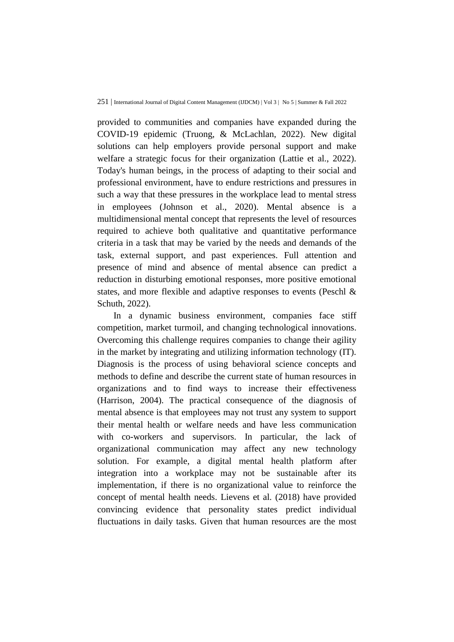provided to communities and companies have expanded during the COVID-19 epidemic (Truong, & McLachlan, 2022). New digital solutions can help employers provide personal support and make welfare a strategic focus for their organization (Lattie et al., 2022). Today's human beings, in the process of adapting to their social and professional environment, have to endure restrictions and pressures in such a way that these pressures in the workplace lead to mental stress in employees (Johnson et al., 2020). Mental absence is a multidimensional mental concept that represents the level of resources required to achieve both qualitative and quantitative performance criteria in a task that may be varied by the needs and demands of the task, external support, and past experiences. Full attention and presence of mind and absence of mental absence can predict a reduction in disturbing emotional responses, more positive emotional states, and more flexible and adaptive responses to events (Peschl & Schuth, 2022).

In a dynamic business environment, companies face stiff competition, market turmoil, and changing technological innovations. Overcoming this challenge requires companies to change their agility in the market by integrating and utilizing information technology (IT). Diagnosis is the process of using behavioral science concepts and methods to define and describe the current state of human resources in organizations and to find ways to increase their effectiveness (Harrison, 2004). The practical consequence of the diagnosis of mental absence is that employees may not trust any system to support their mental health or welfare needs and have less communication with co-workers and supervisors. In particular, the lack of organizational communication may affect any new technology solution. For example, a digital mental health platform after integration into a workplace may not be sustainable after its implementation, if there is no organizational value to reinforce the concept of mental health needs. Lievens et al. (2018) have provided convincing evidence that personality states predict individual fluctuations in daily tasks. Given that human resources are the most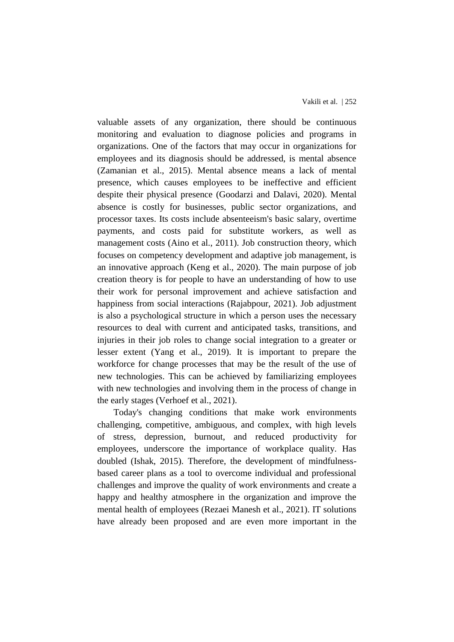valuable assets of any organization, there should be continuous monitoring and evaluation to diagnose policies and programs in organizations. One of the factors that may occur in organizations for employees and its diagnosis should be addressed, is mental absence (Zamanian et al., 2015). Mental absence means a lack of mental presence, which causes employees to be ineffective and efficient despite their physical presence (Goodarzi and Dalavi, 2020). Mental absence is costly for businesses, public sector organizations, and processor taxes. Its costs include absenteeism's basic salary, overtime payments, and costs paid for substitute workers, as well as management costs (Aino et al., 2011). Job construction theory, which focuses on competency development and adaptive job management, is an innovative approach (Keng et al., 2020). The main purpose of job creation theory is for people to have an understanding of how to use their work for personal improvement and achieve satisfaction and happiness from social interactions (Rajabpour, 2021). Job adjustment is also a psychological structure in which a person uses the necessary resources to deal with current and anticipated tasks, transitions, and injuries in their job roles to change social integration to a greater or lesser extent (Yang et al., 2019). It is important to prepare the workforce for change processes that may be the result of the use of new technologies. This can be achieved by familiarizing employees with new technologies and involving them in the process of change in the early stages (Verhoef et al., 2021).

Today's changing conditions that make work environments challenging, competitive, ambiguous, and complex, with high levels of stress, depression, burnout, and reduced productivity for employees, underscore the importance of workplace quality. Has doubled (Ishak, 2015). Therefore, the development of mindfulnessbased career plans as a tool to overcome individual and professional challenges and improve the quality of work environments and create a happy and healthy atmosphere in the organization and improve the mental health of employees (Rezaei Manesh et al., 2021). IT solutions have already been proposed and are even more important in the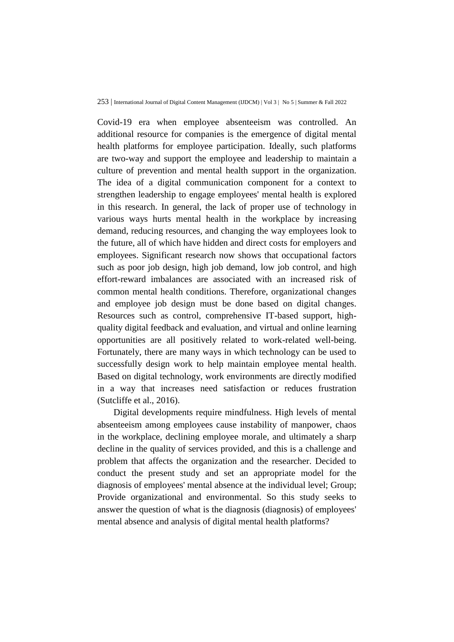Covid-19 era when employee absenteeism was controlled. An additional resource for companies is the emergence of digital mental health platforms for employee participation. Ideally, such platforms are two-way and support the employee and leadership to maintain a culture of prevention and mental health support in the organization. The idea of a digital communication component for a context to strengthen leadership to engage employees' mental health is explored in this research. In general, the lack of proper use of technology in various ways hurts mental health in the workplace by increasing demand, reducing resources, and changing the way employees look to the future, all of which have hidden and direct costs for employers and employees. Significant research now shows that occupational factors such as poor job design, high job demand, low job control, and high effort-reward imbalances are associated with an increased risk of common mental health conditions. Therefore, organizational changes and employee job design must be done based on digital changes. Resources such as control, comprehensive IT-based support, highquality digital feedback and evaluation, and virtual and online learning opportunities are all positively related to work-related well-being. Fortunately, there are many ways in which technology can be used to successfully design work to help maintain employee mental health. Based on digital technology, work environments are directly modified in a way that increases need satisfaction or reduces frustration (Sutcliffe et al., 2016).

Digital developments require mindfulness. High levels of mental absenteeism among employees cause instability of manpower, chaos in the workplace, declining employee morale, and ultimately a sharp decline in the quality of services provided, and this is a challenge and problem that affects the organization and the researcher. Decided to conduct the present study and set an appropriate model for the diagnosis of employees' mental absence at the individual level; Group; Provide organizational and environmental. So this study seeks to answer the question of what is the diagnosis (diagnosis) of employees' mental absence and analysis of digital mental health platforms?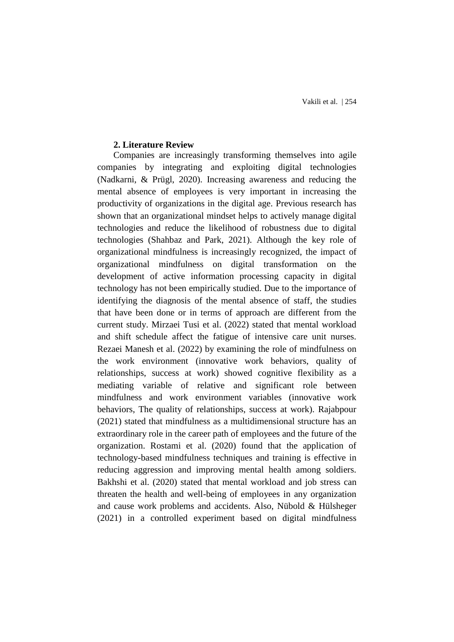Vakili et al. | 254

#### **2. Literature Review**

Companies are increasingly transforming themselves into agile companies by integrating and exploiting digital technologies (Nadkarni, & Prügl, 2020). Increasing awareness and reducing the mental absence of employees is very important in increasing the productivity of organizations in the digital age. Previous research has shown that an organizational mindset helps to actively manage digital technologies and reduce the likelihood of robustness due to digital technologies (Shahbaz and Park, 2021). Although the key role of organizational mindfulness is increasingly recognized, the impact of organizational mindfulness on digital transformation on the development of active information processing capacity in digital technology has not been empirically studied. Due to the importance of identifying the diagnosis of the mental absence of staff, the studies that have been done or in terms of approach are different from the current study. Mirzaei Tusi et al. (2022) stated that mental workload and shift schedule affect the fatigue of intensive care unit nurses. Rezaei Manesh et al. (2022) by examining the role of mindfulness on the work environment (innovative work behaviors, quality of relationships, success at work) showed cognitive flexibility as a mediating variable of relative and significant role between mindfulness and work environment variables (innovative work behaviors, The quality of relationships, success at work). Rajabpour (2021) stated that mindfulness as a multidimensional structure has an extraordinary role in the career path of employees and the future of the organization. Rostami et al. (2020) found that the application of technology-based mindfulness techniques and training is effective in reducing aggression and improving mental health among soldiers. Bakhshi et al. (2020) stated that mental workload and job stress can threaten the health and well-being of employees in any organization and cause work problems and accidents. Also, Nübold & Hülsheger (2021) in a controlled experiment based on digital mindfulness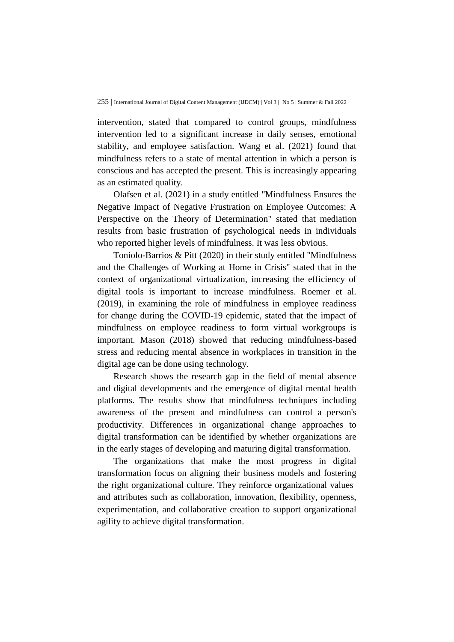intervention, stated that compared to control groups, mindfulness intervention led to a significant increase in daily senses, emotional stability, and employee satisfaction. Wang et al. (2021) found that mindfulness refers to a state of mental attention in which a person is conscious and has accepted the present. This is increasingly appearing as an estimated quality.

Olafsen et al. (2021) in a study entitled "Mindfulness Ensures the Negative Impact of Negative Frustration on Employee Outcomes: A Perspective on the Theory of Determination" stated that mediation results from basic frustration of psychological needs in individuals who reported higher levels of mindfulness. It was less obvious.

Toniolo-Barrios & Pitt (2020) in their study entitled "Mindfulness and the Challenges of Working at Home in Crisis" stated that in the context of organizational virtualization, increasing the efficiency of digital tools is important to increase mindfulness. Roemer et al. (2019), in examining the role of mindfulness in employee readiness for change during the COVID-19 epidemic, stated that the impact of mindfulness on employee readiness to form virtual workgroups is important. Mason (2018) showed that reducing mindfulness-based stress and reducing mental absence in workplaces in transition in the digital age can be done using technology.

Research shows the research gap in the field of mental absence and digital developments and the emergence of digital mental health platforms. The results show that mindfulness techniques including awareness of the present and mindfulness can control a person's productivity. Differences in organizational change approaches to digital transformation can be identified by whether organizations are in the early stages of developing and maturing digital transformation.

The organizations that make the most progress in digital transformation focus on aligning their business models and fostering the right organizational culture. They reinforce organizational values and attributes such as collaboration, innovation, flexibility, openness, experimentation, and collaborative creation to support organizational agility to achieve digital transformation.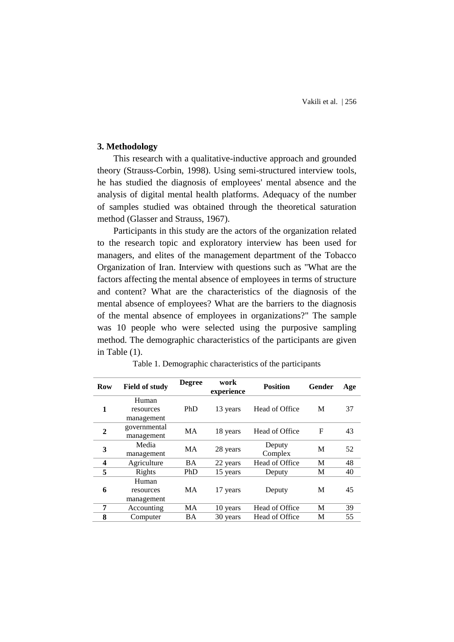### **3. Methodology**

This research with a qualitative-inductive approach and grounded theory (Strauss-Corbin, 1998). Using semi-structured interview tools, he has studied the diagnosis of employees' mental absence and the analysis of digital mental health platforms. Adequacy of the number of samples studied was obtained through the theoretical saturation method (Glasser and Strauss, 1967).

Participants in this study are the actors of the organization related to the research topic and exploratory interview has been used for managers, and elites of the management department of the Tobacco Organization of Iran. Interview with questions such as "What are the factors affecting the mental absence of employees in terms of structure and content? What are the characteristics of the diagnosis of the mental absence of employees? What are the barriers to the diagnosis of the mental absence of employees in organizations?" The sample was 10 people who were selected using the purposive sampling method. The demographic characteristics of the participants are given in Table (1).

| Row                     | <b>Field of study</b> | <b>Degree</b> | work<br>experience | <b>Position</b> | Gender      | Age |
|-------------------------|-----------------------|---------------|--------------------|-----------------|-------------|-----|
|                         | Human                 |               |                    |                 |             |     |
| 1                       | resources             | PhD           | 13 years           | Head of Office  | М           | 37  |
|                         | management            |               |                    |                 |             |     |
| $\mathbf{2}$            | governmental          | MA            | 18 years           | Head of Office  | $\mathbf F$ | 43  |
|                         | management            |               |                    |                 |             |     |
| 3                       | Media                 | MA            | 28 years           | Deputy          | M           | 52  |
|                         | management            |               |                    | Complex         |             |     |
| $\overline{\mathbf{4}}$ | Agriculture           | BA            | 22 years           | Head of Office  | M           | 48  |
| 5                       | Rights                | PhD           | 15 years           | Deputy          | М           | 40  |
|                         | Human                 |               |                    |                 |             |     |
| 6                       | resources             | MA            | 17 years           | Deputy          | M           | 45  |
|                         | management            |               |                    |                 |             |     |
| 7                       | Accounting            | MA            | 10 years           | Head of Office  | M           | 39  |
| 8                       | Computer              | BA            | 30 years           | Head of Office  | М           | 55  |

Table 1. Demographic characteristics of the participants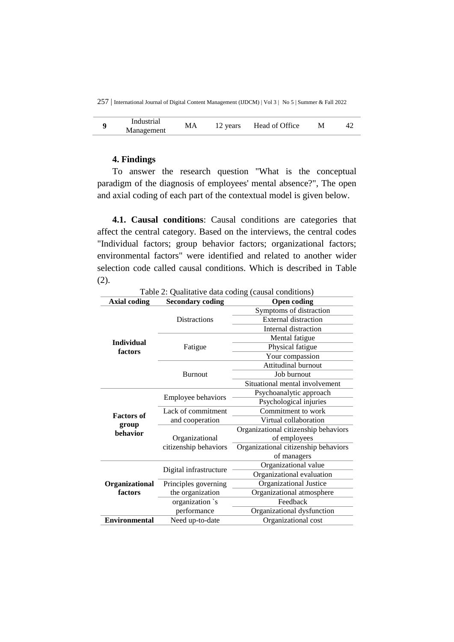|  | Industrial<br>Management | М | years | Head of Office |  |  |
|--|--------------------------|---|-------|----------------|--|--|
|--|--------------------------|---|-------|----------------|--|--|

### **4. Findings**

To answer the research question "What is the conceptual paradigm of the diagnosis of employees' mental absence?", The open and axial coding of each part of the contextual model is given below.

**4.1. Causal conditions**: Causal conditions are categories that affect the central category. Based on the interviews, the central codes "Individual factors; group behavior factors; organizational factors; environmental factors" were identified and related to another wider selection code called causal conditions. Which is described in Table  $(2)$ .

| <b>Axial coding</b>  | <b>Secondary coding</b>   | I avic 2. Qualitative data county (causal conditions)<br><b>Open coding</b> |
|----------------------|---------------------------|-----------------------------------------------------------------------------|
|                      |                           | Symptoms of distraction                                                     |
|                      | <b>Distractions</b>       | <b>External distraction</b>                                                 |
|                      |                           | Internal distraction                                                        |
| <b>Individual</b>    |                           | Mental fatigue                                                              |
| factors              | Fatigue                   | Physical fatigue                                                            |
|                      |                           | Your compassion                                                             |
|                      |                           | Attitudinal burnout                                                         |
|                      | <b>Burnout</b>            | Job burnout                                                                 |
|                      |                           | Situational mental involvement                                              |
|                      | <b>Employee behaviors</b> | Psychoanalytic approach                                                     |
|                      |                           | Psychological injuries                                                      |
| <b>Factors of</b>    | Lack of commitment        | Commitment to work                                                          |
| group                | and cooperation           | Virtual collaboration                                                       |
| behavior             |                           | Organizational citizenship behaviors                                        |
|                      | Organizational            | of employees                                                                |
|                      | citizenship behaviors     | Organizational citizenship behaviors                                        |
|                      |                           | of managers                                                                 |
|                      | Digital infrastructure    | Organizational value                                                        |
|                      |                           | Organizational evaluation                                                   |
| Organizational       | Principles governing      | Organizational Justice                                                      |
| factors              | the organization          | Organizational atmosphere                                                   |
|                      | organization `s           | Feedback                                                                    |
|                      | performance               | Organizational dysfunction                                                  |
| <b>Environmental</b> | Need up-to-date           | Organizational cost                                                         |

Table 2: Qualitative data coding (causal conditions)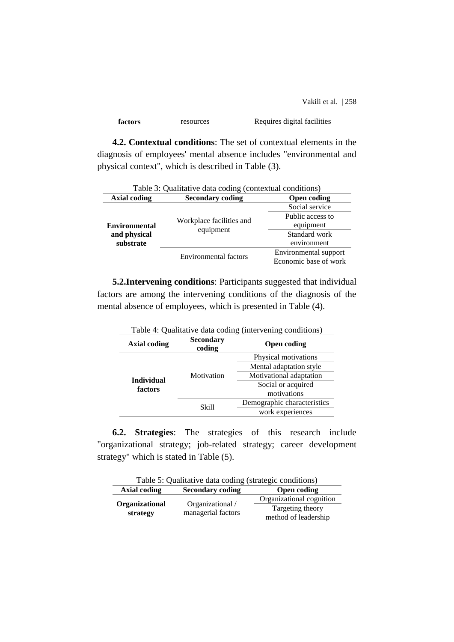Vakili et al. | 258

|--|

**4.2. Contextual conditions**: The set of contextual elements in the diagnosis of employees' mental absence includes "environmental and physical context", which is described in Table (3).

| Table 3: Qualitative data coding (contextual conditions) |                                               |                       |  |
|----------------------------------------------------------|-----------------------------------------------|-----------------------|--|
| <b>Axial coding</b>                                      | <b>Secondary coding</b><br><b>Open coding</b> |                       |  |
|                                                          |                                               | Social service        |  |
|                                                          |                                               | Public access to      |  |
| <b>Environmental</b><br>and physical<br>substrate        | Workplace facilities and<br>equipment         | equipment             |  |
|                                                          |                                               | Standard work         |  |
|                                                          |                                               | environment           |  |
|                                                          | Environmental factors                         | Environmental support |  |
|                                                          |                                               | Economic base of work |  |
|                                                          |                                               |                       |  |

**5.2.Intervening conditions**: Participants suggested that individual factors are among the intervening conditions of the diagnosis of the mental absence of employees, which is presented in Table (4).

| Table 4: Quantative data coding (intervening conditions) |                            |                             |  |
|----------------------------------------------------------|----------------------------|-----------------------------|--|
| Axial coding                                             | <b>Secondary</b><br>coding | <b>Open coding</b>          |  |
|                                                          |                            | Physical motivations        |  |
|                                                          |                            | Mental adaptation style     |  |
| <b>Individual</b><br>factors                             | Motivation                 | Motivational adaptation     |  |
|                                                          |                            | Social or acquired          |  |
|                                                          |                            | motivations                 |  |
|                                                          | Skill                      | Demographic characteristics |  |
|                                                          |                            | work experiences            |  |
|                                                          |                            |                             |  |

Table 4: Qualitative data coding (intervening conditions)

**6.2. Strategies**: The strategies of this research include "organizational strategy; job-related strategy; career development strategy" which is stated in Table (5).

Table 5: Qualitative data coding (strategic conditions) **Axial coding Secondary coding Open coding Organizational**  Organizational / Organizational cognition Targeting theory

method of leadership

managerial factors

**strategy**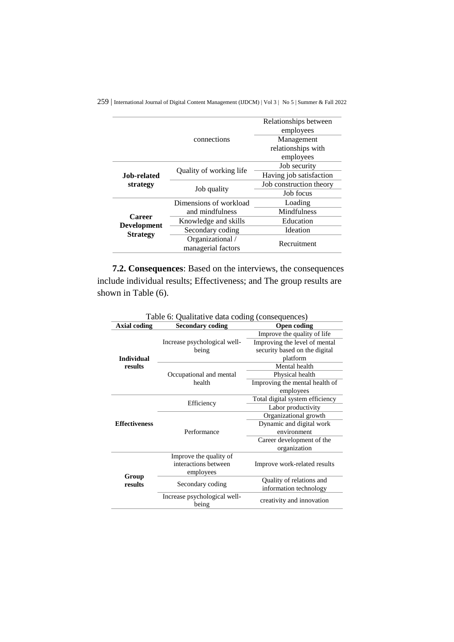|                                       |                                        | Relationships between<br>employees |
|---------------------------------------|----------------------------------------|------------------------------------|
|                                       | connections                            | Management<br>relationships with   |
|                                       |                                        | employees                          |
|                                       | Quality of working life                | Job security                       |
| Job-related.                          |                                        | Having job satisfaction            |
| strategy                              |                                        | Job construction theory            |
|                                       | Job quality                            | Job focus                          |
|                                       | Dimensions of workload                 | Loading                            |
| <b>Career</b>                         | and mindfulness                        | <b>Mindfulness</b>                 |
| <b>Development</b><br><b>Strategy</b> | Knowledge and skills                   | Education                          |
|                                       | Secondary coding                       | <b>Ideation</b>                    |
|                                       | Organizational /<br>managerial factors | Recruitment                        |

**7.2. Consequences**: Based on the interviews, the consequences include individual results; Effectiveness; and The group results are shown in Table (6).

| I able o: Quantative data couing (consequences) |                              |                                 |  |  |
|-------------------------------------------------|------------------------------|---------------------------------|--|--|
| <b>Axial coding</b>                             | <b>Secondary coding</b>      | <b>Open coding</b>              |  |  |
|                                                 |                              | Improve the quality of life     |  |  |
|                                                 | Increase psychological well- | Improving the level of mental   |  |  |
|                                                 | being                        | security based on the digital   |  |  |
| <b>Individual</b>                               |                              | platform                        |  |  |
| results                                         |                              | Mental health                   |  |  |
|                                                 | Occupational and mental      | Physical health                 |  |  |
|                                                 | health                       | Improving the mental health of  |  |  |
|                                                 |                              | employees                       |  |  |
|                                                 |                              | Total digital system efficiency |  |  |
|                                                 | Efficiency                   | Labor productivity              |  |  |
|                                                 |                              | Organizational growth           |  |  |
| <b>Effectiveness</b>                            |                              | Dynamic and digital work        |  |  |
|                                                 | Performance                  | environment                     |  |  |
|                                                 |                              | Career development of the       |  |  |
|                                                 |                              | organization                    |  |  |
|                                                 | Improve the quality of       |                                 |  |  |
| Group<br>results                                | interactions between         | Improve work-related results    |  |  |
|                                                 | employees                    |                                 |  |  |
|                                                 | Secondary coding             | Quality of relations and        |  |  |
|                                                 |                              | information technology          |  |  |
|                                                 | Increase psychological well- | creativity and innovation       |  |  |
|                                                 | being                        |                                 |  |  |

Table 6: Qualitative data coding (consequences)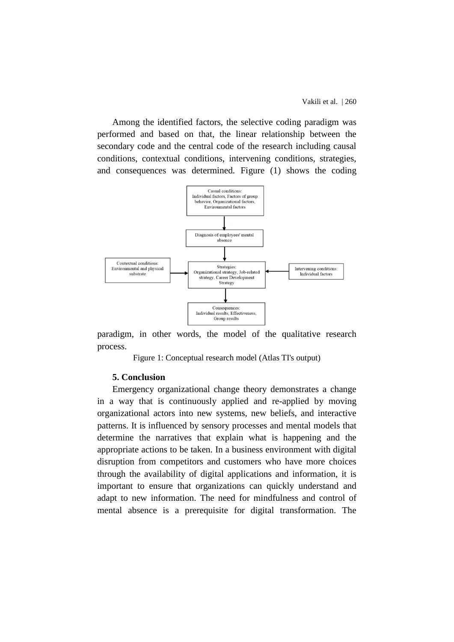Among the identified factors, the selective coding paradigm was performed and based on that, the linear relationship between the secondary code and the central code of the research including causal conditions, contextual conditions, intervening conditions, strategies, and consequences was determined. Figure (1) shows the coding



paradigm, in other words, the model of the qualitative research process.

Figure 1: Conceptual research model (Atlas TI's output)

### **5. Conclusion**

Emergency organizational change theory demonstrates a change in a way that is continuously applied and re-applied by moving organizational actors into new systems, new beliefs, and interactive patterns. It is influenced by sensory processes and mental models that determine the narratives that explain what is happening and the appropriate actions to be taken. In a business environment with digital disruption from competitors and customers who have more choices through the availability of digital applications and information, it is important to ensure that organizations can quickly understand and adapt to new information. The need for mindfulness and control of mental absence is a prerequisite for digital transformation. The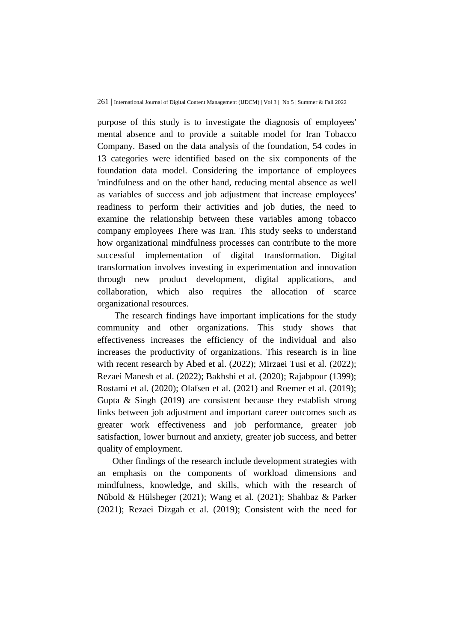purpose of this study is to investigate the diagnosis of employees' mental absence and to provide a suitable model for Iran Tobacco Company. Based on the data analysis of the foundation, 54 codes in 13 categories were identified based on the six components of the foundation data model. Considering the importance of employees 'mindfulness and on the other hand, reducing mental absence as well as variables of success and job adjustment that increase employees' readiness to perform their activities and job duties, the need to examine the relationship between these variables among tobacco company employees There was Iran. This study seeks to understand how organizational mindfulness processes can contribute to the more successful implementation of digital transformation. Digital transformation involves investing in experimentation and innovation through new product development, digital applications, and collaboration, which also requires the allocation of scarce organizational resources.

The research findings have important implications for the study community and other organizations. This study shows that effectiveness increases the efficiency of the individual and also increases the productivity of organizations. This research is in line with recent research by Abed et al. (2022); Mirzaei Tusi et al. (2022); Rezaei Manesh et al. (2022); Bakhshi et al. (2020); Rajabpour (1399); Rostami et al. (2020); Olafsen et al. (2021) and Roemer et al. (2019); Gupta & Singh (2019) are consistent because they establish strong links between job adjustment and important career outcomes such as greater work effectiveness and job performance, greater job satisfaction, lower burnout and anxiety, greater job success, and better quality of employment.

Other findings of the research include development strategies with an emphasis on the components of workload dimensions and mindfulness, knowledge, and skills, which with the research of Nübold & Hülsheger (2021); Wang et al. (2021); Shahbaz & Parker (2021); Rezaei Dizgah et al. (2019); Consistent with the need for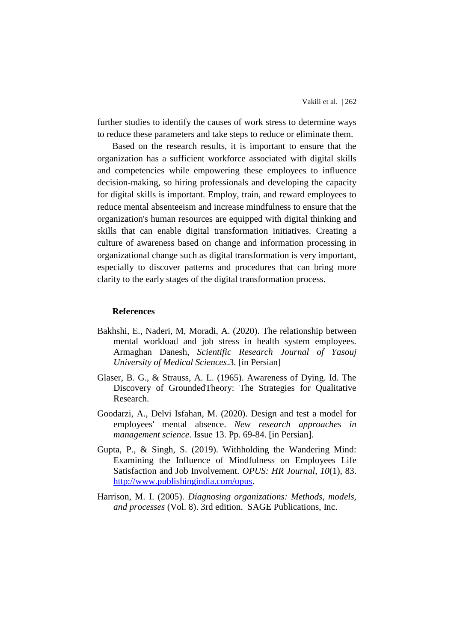further studies to identify the causes of work stress to determine ways to reduce these parameters and take steps to reduce or eliminate them.

Based on the research results, it is important to ensure that the organization has a sufficient workforce associated with digital skills and competencies while empowering these employees to influence decision-making, so hiring professionals and developing the capacity for digital skills is important. Employ, train, and reward employees to reduce mental absenteeism and increase mindfulness to ensure that the organization's human resources are equipped with digital thinking and skills that can enable digital transformation initiatives. Creating a culture of awareness based on change and information processing in organizational change such as digital transformation is very important, especially to discover patterns and procedures that can bring more clarity to the early stages of the digital transformation process.

#### **References**

- Bakhshi, E., Naderi, M, Moradi, A. (2020). The relationship between mental workload and job stress in health system employees. Armaghan Danesh, *Scientific Research Journal of Yasouj University of Medical Sciences*.3. [in Persian]
- Glaser, B. G., & Strauss, A. L. (1965). Awareness of Dying. Id. The Discovery of GroundedTheory: The Strategies for Qualitative Research.
- Goodarzi, A., Delvi Isfahan, M. (2020). Design and test a model for employees' mental absence. *New research approaches in management science*. Issue 13. Pp. 69-84. [in Persian].
- Gupta, P., & Singh, S. (2019). Withholding the Wandering Mind: Examining the Influence of Mindfulness on Employees Life Satisfaction and Job Involvement. *OPUS: HR Journal*, *10*(1), 83. [http://www.publishingindia.com/opus.](http://www.publishingindia.com/opus)
- Harrison, M. I. (2005). *Diagnosing organizations: Methods, models, and processes* (Vol. 8). 3rd edition. SAGE Publications, Inc.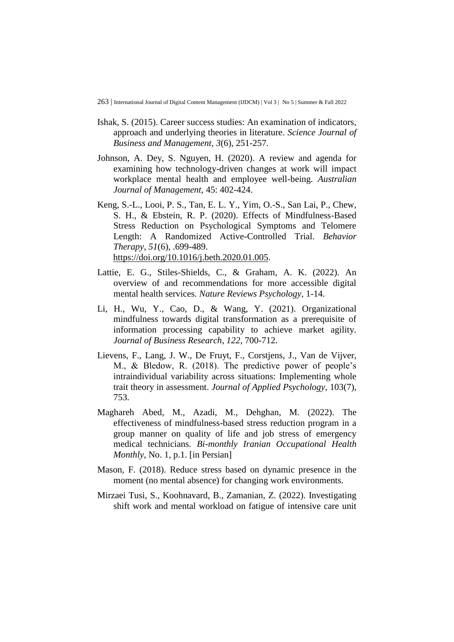- Ishak, S. (2015). Career success studies: An examination of indicators, approach and underlying theories in literature. *Science Journal of Business and Management*, *3*(6), 251-257.
- Johnson, A. Dey, S. Nguyen, H. (2020). A review and agenda for examining how technology-driven changes at work will impact workplace mental health and employee well-being. *Australian Journal of Management*, 45: 402-424.
- Keng, S.-L., Looi, P. S., Tan, E. L. Y., Yim, O.-S., San Lai, P., Chew, S. H., & Ebstein, R. P. (2020). Effects of Mindfulness-Based Stress Reduction on Psychological Symptoms and Telomere Length: A Randomized Active-Controlled Trial. *Behavior Therapy, 51*(6), .699-489. [https://doi.org/10.1016/j.beth.2020.01.005.](https://doi.org/10.1016/j.beth.2020.01.005)
- Lattie, E. G., Stiles-Shields, C., & Graham, A. K. (2022). An overview of and recommendations for more accessible digital mental health services. *Nature Reviews Psychology*, 1-14.
- Li, H., Wu, Y., Cao, D., & Wang, Y. (2021). Organizational mindfulness towards digital transformation as a prerequisite of information processing capability to achieve market agility. *Journal of Business Research*, *122*, 700-712.
- Lievens, F., Lang, J. W., De Fruyt, F., Corstjens, J., Van de Vijver, M., & Bledow, R. (2018). The predictive power of people's intraindividual variability across situations: Implementing whole trait theory in assessment. *Journal of Applied Psychology*, 103(7), 753.
- Maghareh Abed, M., Azadi, M., Dehghan, M. (2022). The effectiveness of mindfulness-based stress reduction program in a group manner on quality of life and job stress of emergency medical technicians. *Bi-monthly Iranian Occupational Health Monthly*, No. 1, p.1. [in Persian]
- Mason, F. (2018). Reduce stress based on dynamic presence in the moment (no mental absence) for changing work environments.
- Mirzaei Tusi, S., Koohnavard, B., Zamanian, Z. (2022). Investigating shift work and mental workload on fatigue of intensive care unit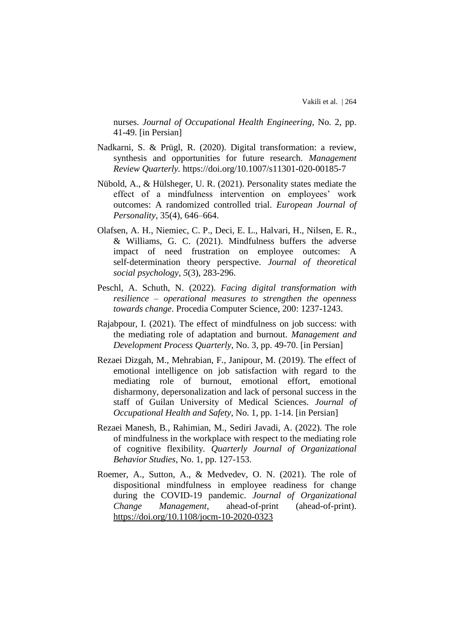nurses. *Journal of Occupational Health Engineering*, No. 2, pp. 41-49. [in Persian]

- Nadkarni, S. & Prügl, R. (2020). Digital transformation: a review, synthesis and opportunities for future research. *Management Review Quarterly.* https://doi.org/10.1007/s11301-020-00185-7
- Nübold, A., & Hülsheger, U. R. (2021). Personality states mediate the effect of a mindfulness intervention on employees' work outcomes: A randomized controlled trial. *European Journal of Personality*, 35(4), 646–664.
- Olafsen, A. H., Niemiec, C. P., Deci, E. L., Halvari, H., Nilsen, E. R., & Williams, G. C. (2021). Mindfulness buffers the adverse impact of need frustration on employee outcomes: A self‐determination theory perspective. *Journal of theoretical social psychology*, *5*(3), 283-296.
- Peschl, A. Schuth, N. (2022). *Facing digital transformation with resilience – operational measures to strengthen the openness towards change*. Procedia Computer Science, 200: 1237-1243.
- Rajabpour, I. (2021). The effect of mindfulness on job success: with the mediating role of adaptation and burnout. *Management and Development Process Quarterly*, No. 3, pp. 49-70. [in Persian]
- Rezaei Dizgah, M., Mehrabian, F., Janipour, M. (2019). The effect of emotional intelligence on job satisfaction with regard to the mediating role of burnout, emotional effort, emotional disharmony, depersonalization and lack of personal success in the staff of Guilan University of Medical Sciences. *Journal of Occupational Health and Safety*, No. 1, pp. 1-14. [in Persian]
- Rezaei Manesh, B., Rahimian, M., Sediri Javadi, A. (2022). The role of mindfulness in the workplace with respect to the mediating role of cognitive flexibility. *Quarterly Journal of Organizational Behavior Studies*, No. 1, pp. 127-153.
- Roemer, A., Sutton, A., & Medvedev, O. N. (2021). The role of dispositional mindfulness in employee readiness for change during the COVID-19 pandemic. *Journal of Organizational Change Management*, ahead-of-print (ahead-of-print). <https://doi.org/10.1108/jocm-10-2020-0323>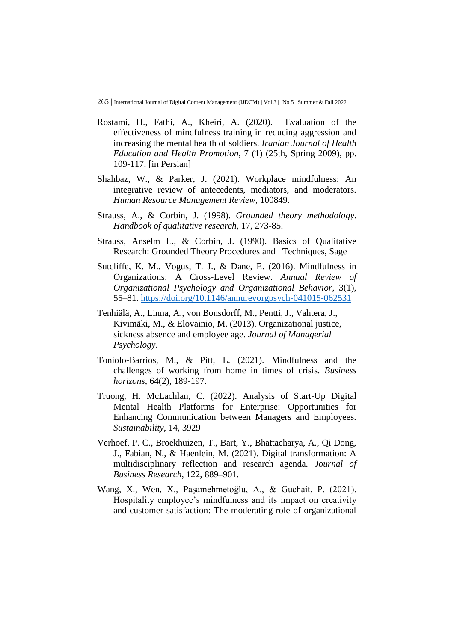- Rostami, H., Fathi, A., Kheiri, A. (2020). Evaluation of the effectiveness of mindfulness training in reducing aggression and increasing the mental health of soldiers. *Iranian Journal of Health Education and Health Promotion*, 7 (1) (25th, Spring 2009), pp. 109-117. [in Persian]
- Shahbaz, W., & Parker, J. (2021). Workplace mindfulness: An integrative review of antecedents, mediators, and moderators. *Human Resource Management Review*, 100849.
- Strauss, A., & Corbin, J. (1998). *Grounded theory methodology*. *Handbook of qualitative research*, 17, 273-85.
- Strauss, Anselm L., & Corbin, J. (1990). Basics of Qualitative Research: Grounded Theory Procedures and Techniques, Sage
- Sutcliffe, K. M., Vogus, T. J., & Dane, E. (2016). Mindfulness in Organizations: A Cross-Level Review. *Annual Review of Organizational Psychology and Organizational Behavior*, 3(1), 55–81.<https://doi.org/10.1146/annurevorgpsych-041015-062531>
- Tenhiälä, A., Linna, A., von Bonsdorff, M., Pentti, J., Vahtera, J., Kivimäki, M., & Elovainio, M. (2013). Organizational justice, sickness absence and employee age. *Journal of Managerial Psychology*.
- Toniolo-Barrios, M., & Pitt, L. (2021). Mindfulness and the challenges of working from home in times of crisis. *Business horizons*, 64(2), 189-197.
- Truong, H. McLachlan, C. (2022). Analysis of Start-Up Digital Mental Health Platforms for Enterprise: Opportunities for Enhancing Communication between Managers and Employees. *Sustainability*, 14, 3929
- Verhoef, P. C., Broekhuizen, T., Bart, Y., Bhattacharya, A., Qi Dong, J., Fabian, N., & Haenlein, M. (2021). Digital transformation: A multidisciplinary reflection and research agenda. *Journal of Business Research*, 122, 889–901.
- Wang, X., Wen, X., Paşamehmetoğlu, A., & Guchait, P. (2021). Hospitality employee's mindfulness and its impact on creativity and customer satisfaction: The moderating role of organizational